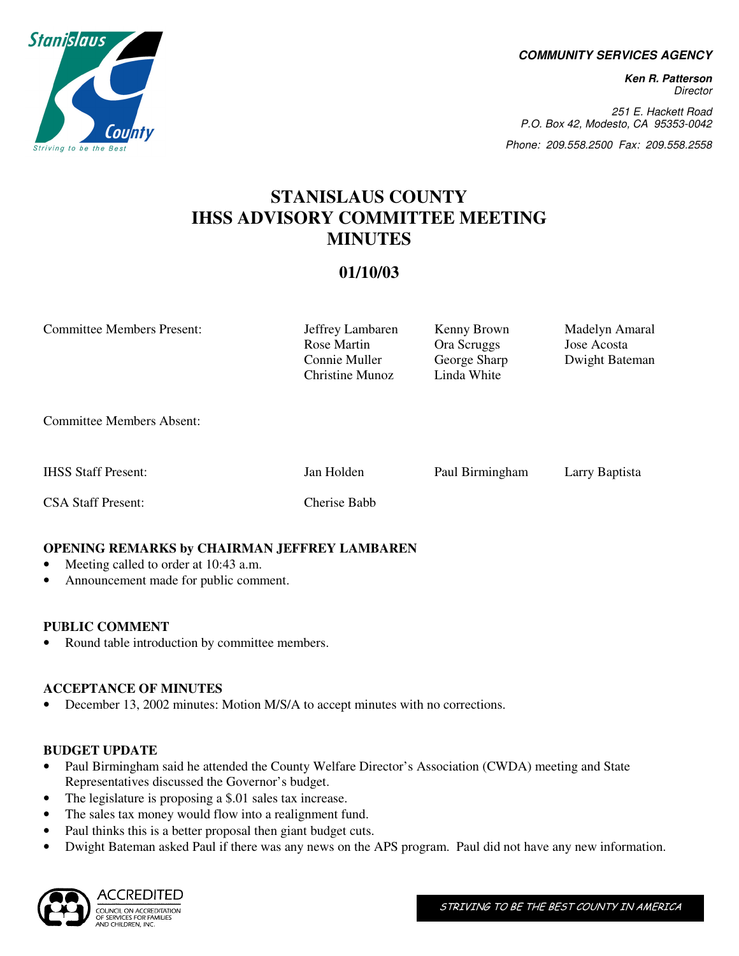**COMMUNITY SERVICES AGENCY** 

**Ken R. Patterson**  Director

251 E. Hackett Road P.O. Box 42, Modesto, CA 95353-0042

Phone: 209.558.2500 Fax: 209.558.2558

# **STANISLAUS COUNTY IHSS ADVISORY COMMITTEE MEETING MINUTES**

# **01/10/03**

Committee Members Present: Jeffrey Lambaren Kenny Brown Madelyn Amaral Rose Martin Ora Scruggs Jose Acosta Connie Muller George Sharp Dwight Bateman Christine Munoz Linda White Committee Members Absent:

IHSS Staff Present: Jan Holden Paul Birmingham Larry Baptista

CSA Staff Present: Cherise Babb

## **OPENING REMARKS by CHAIRMAN JEFFREY LAMBAREN**

- Meeting called to order at 10:43 a.m.
- Announcement made for public comment.

#### **PUBLIC COMMENT**

• Round table introduction by committee members.

#### **ACCEPTANCE OF MINUTES**

• December 13, 2002 minutes: Motion M/S/A to accept minutes with no corrections.

## **BUDGET UPDATE**

- Paul Birmingham said he attended the County Welfare Director's Association (CWDA) meeting and State Representatives discussed the Governor's budget.
- The legislature is proposing a \$.01 sales tax increase.
- The sales tax money would flow into a realignment fund.
- Paul thinks this is a better proposal then giant budget cuts.
- Dwight Bateman asked Paul if there was any news on the APS program. Paul did not have any new information.